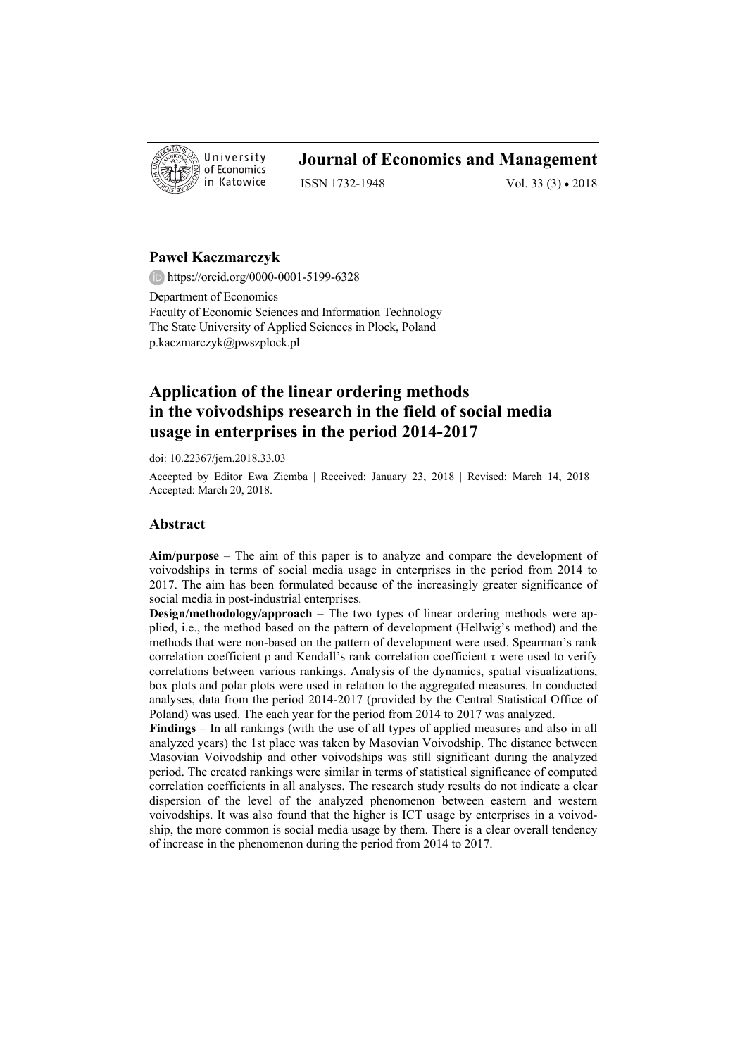

# **Journal of Economics and Management**

ISSN 1732-1948 Vol. 33 (3) • 2018

## **Paweł Kaczmarczyk**

https://orcid.org/0000-0001-5199-6328

Department of Economics Faculty of Economic Sciences and Information Technology The State University of Applied Sciences in Plock, Poland p.kaczmarczyk@pwszplock.pl

# **Application of the linear ordering methods in the voivodships research in the field of social media usage in enterprises in the period 2014-2017**

doi: 10.22367/jem.2018.33.03

Accepted by Editor Ewa Ziemba | Received: January 23, 2018 | Revised: March 14, 2018 | Accepted: March 20, 2018.

#### **Abstract**

**Aim/purpose** – The aim of this paper is to analyze and compare the development of voivodships in terms of social media usage in enterprises in the period from 2014 to 2017. The aim has been formulated because of the increasingly greater significance of social media in post-industrial enterprises.

**Design/methodology/approach** – The two types of linear ordering methods were applied, i.e., the method based on the pattern of development (Hellwig's method) and the methods that were non-based on the pattern of development were used. Spearman's rank correlation coefficient  $\rho$  and Kendall's rank correlation coefficient  $\tau$  were used to verify correlations between various rankings. Analysis of the dynamics, spatial visualizations, box plots and polar plots were used in relation to the aggregated measures. In conducted analyses, data from the period 2014-2017 (provided by the Central Statistical Office of Poland) was used. The each year for the period from 2014 to 2017 was analyzed.

**Findings** – In all rankings (with the use of all types of applied measures and also in all analyzed years) the 1st place was taken by Masovian Voivodship. The distance between Masovian Voivodship and other voivodships was still significant during the analyzed period. The created rankings were similar in terms of statistical significance of computed correlation coefficients in all analyses. The research study results do not indicate a clear dispersion of the level of the analyzed phenomenon between eastern and western voivodships. It was also found that the higher is ICT usage by enterprises in a voivodship, the more common is social media usage by them. There is a clear overall tendency of increase in the phenomenon during the period from 2014 to 2017.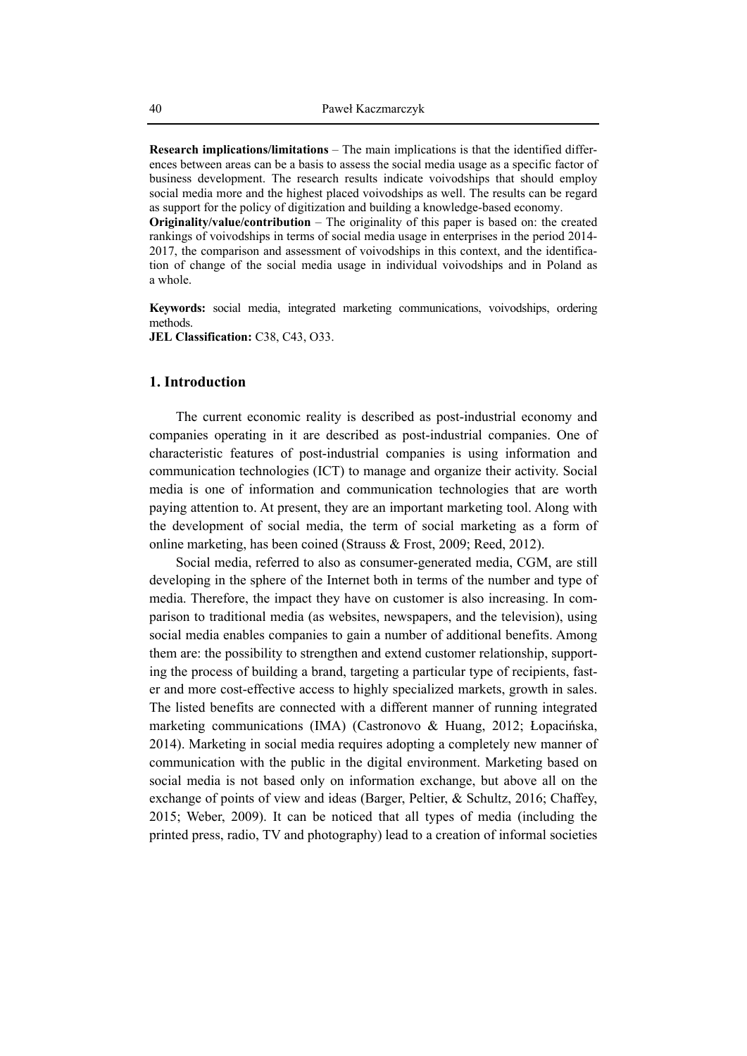**Research implications/limitations** – The main implications is that the identified differences between areas can be a basis to assess the social media usage as a specific factor of business development. The research results indicate voivodships that should employ social media more and the highest placed voivodships as well. The results can be regard as support for the policy of digitization and building a knowledge-based economy.

**Originality/value/contribution** – The originality of this paper is based on: the created rankings of voivodships in terms of social media usage in enterprises in the period 2014- 2017, the comparison and assessment of voivodships in this context, and the identification of change of the social media usage in individual voivodships and in Poland as a whole.

**Keywords:** social media, integrated marketing communications, voivodships, ordering methods.

**JEL Classification:** C38, C43, O33.

# **1. Introduction**

The current economic reality is described as post-industrial economy and companies operating in it are described as post-industrial companies. One of characteristic features of post-industrial companies is using information and communication technologies (ICT) to manage and organize their activity. Social media is one of information and communication technologies that are worth paying attention to. At present, they are an important marketing tool. Along with the development of social media, the term of social marketing as a form of online marketing, has been coined (Strauss & Frost, 2009; Reed, 2012).

Social media, referred to also as consumer-generated media, CGM, are still developing in the sphere of the Internet both in terms of the number and type of media. Therefore, the impact they have on customer is also increasing. In comparison to traditional media (as websites, newspapers, and the television), using social media enables companies to gain a number of additional benefits. Among them are: the possibility to strengthen and extend customer relationship, supporting the process of building a brand, targeting a particular type of recipients, faster and more cost-effective access to highly specialized markets, growth in sales. The listed benefits are connected with a different manner of running integrated marketing communications (IMA) (Castronovo & Huang, 2012; Łopacińska, 2014). Marketing in social media requires adopting a completely new manner of communication with the public in the digital environment. Marketing based on social media is not based only on information exchange, but above all on the exchange of points of view and ideas (Barger, Peltier, & Schultz, 2016; Chaffey, 2015; Weber, 2009). It can be noticed that all types of media (including the printed press, radio, TV and photography) lead to a creation of informal societies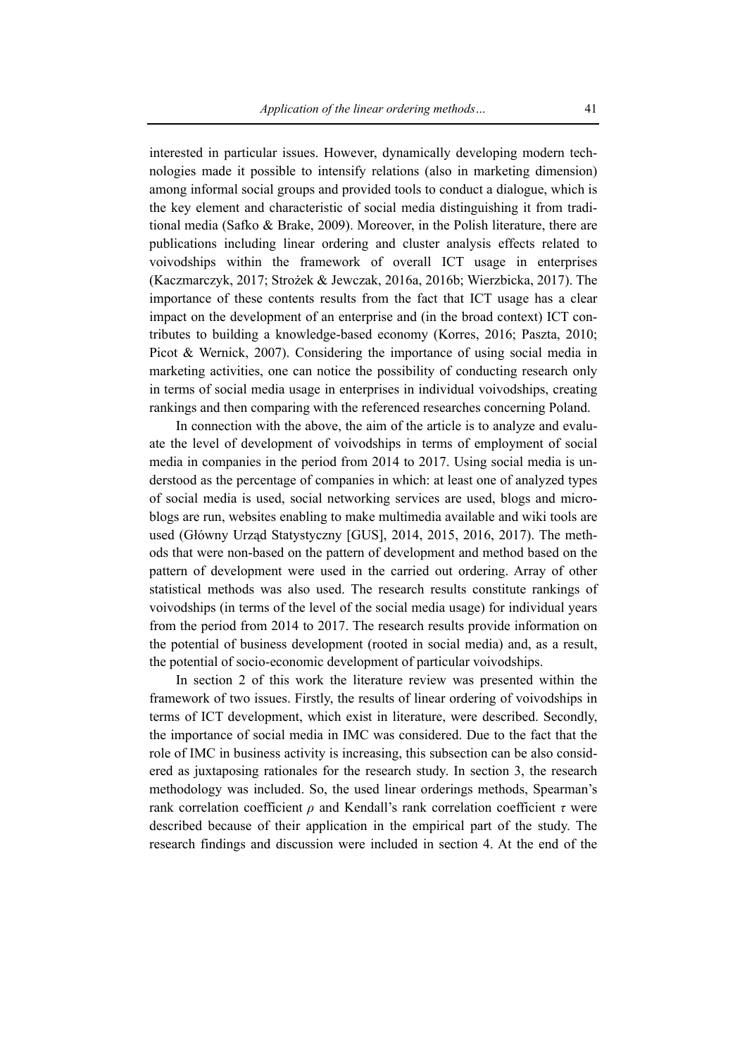interested in particular issues. However, dynamically developing modern technologies made it possible to intensify relations (also in marketing dimension) among informal social groups and provided tools to conduct a dialogue, which is the key element and characteristic of social media distinguishing it from traditional media (Safko & Brake, 2009). Moreover, in the Polish literature, there are publications including linear ordering and cluster analysis effects related to voivodships within the framework of overall ICT usage in enterprises (Kaczmarczyk, 2017; Strożek & Jewczak, 2016a, 2016b; Wierzbicka, 2017). The importance of these contents results from the fact that ICT usage has a clear impact on the development of an enterprise and (in the broad context) ICT contributes to building a knowledge-based economy (Korres, 2016; Paszta, 2010; Picot & Wernick, 2007). Considering the importance of using social media in marketing activities, one can notice the possibility of conducting research only in terms of social media usage in enterprises in individual voivodships, creating rankings and then comparing with the referenced researches concerning Poland.

In connection with the above, the aim of the article is to analyze and evaluate the level of development of voivodships in terms of employment of social media in companies in the period from 2014 to 2017. Using social media is understood as the percentage of companies in which: at least one of analyzed types of social media is used, social networking services are used, blogs and microblogs are run, websites enabling to make multimedia available and wiki tools are used (Główny Urząd Statystyczny [GUS], 2014, 2015, 2016, 2017). The methods that were non-based on the pattern of development and method based on the pattern of development were used in the carried out ordering. Array of other statistical methods was also used. The research results constitute rankings of voivodships (in terms of the level of the social media usage) for individual years from the period from 2014 to 2017. The research results provide information on the potential of business development (rooted in social media) and, as a result, the potential of socio-economic development of particular voivodships.

In section 2 of this work the literature review was presented within the framework of two issues. Firstly, the results of linear ordering of voivodships in terms of ICT development, which exist in literature, were described. Secondly, the importance of social media in IMC was considered. Due to the fact that the role of IMC in business activity is increasing, this subsection can be also considered as juxtaposing rationales for the research study. In section 3, the research methodology was included. So, the used linear orderings methods, Spearman's rank correlation coefficient *ρ* and Kendall's rank correlation coefficient *τ* were described because of their application in the empirical part of the study. The research findings and discussion were included in section 4. At the end of the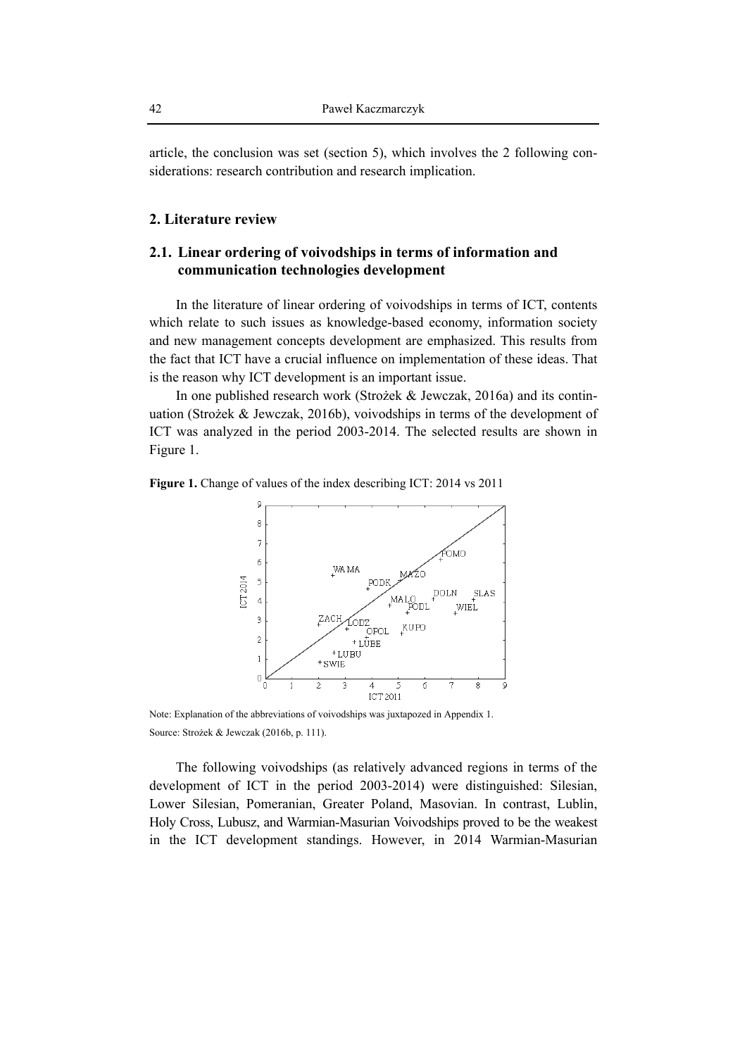article, the conclusion was set (section 5), which involves the 2 following considerations: research contribution and research implication.

### **2. Literature review**

# **2.1. Linear ordering of voivodships in terms of information and communication technologies development**

In the literature of linear ordering of voivodships in terms of ICT, contents which relate to such issues as knowledge-based economy, information society and new management concepts development are emphasized. This results from the fact that ICT have a crucial influence on implementation of these ideas. That is the reason why ICT development is an important issue.

In one published research work (Strożek & Jewczak, 2016a) and its continuation (Strożek & Jewczak, 2016b), voivodships in terms of the development of ICT was analyzed in the period 2003-2014. The selected results are shown in Figure 1.

**Figure 1.** Change of values of the index describing ICT: 2014 vs 2011



Note: Explanation of the abbreviations of voivodships was juxtapozed in Appendix 1. Source: Strożek & Jewczak (2016b, p. 111).

The following voivodships (as relatively advanced regions in terms of the development of ICT in the period 2003-2014) were distinguished: Silesian, Lower Silesian, Pomeranian, Greater Poland, Masovian. In contrast, Lublin, Holy Cross, Lubusz, and Warmian-Masurian Voivodships proved to be the weakest in the ICT development standings. However, in 2014 Warmian-Masurian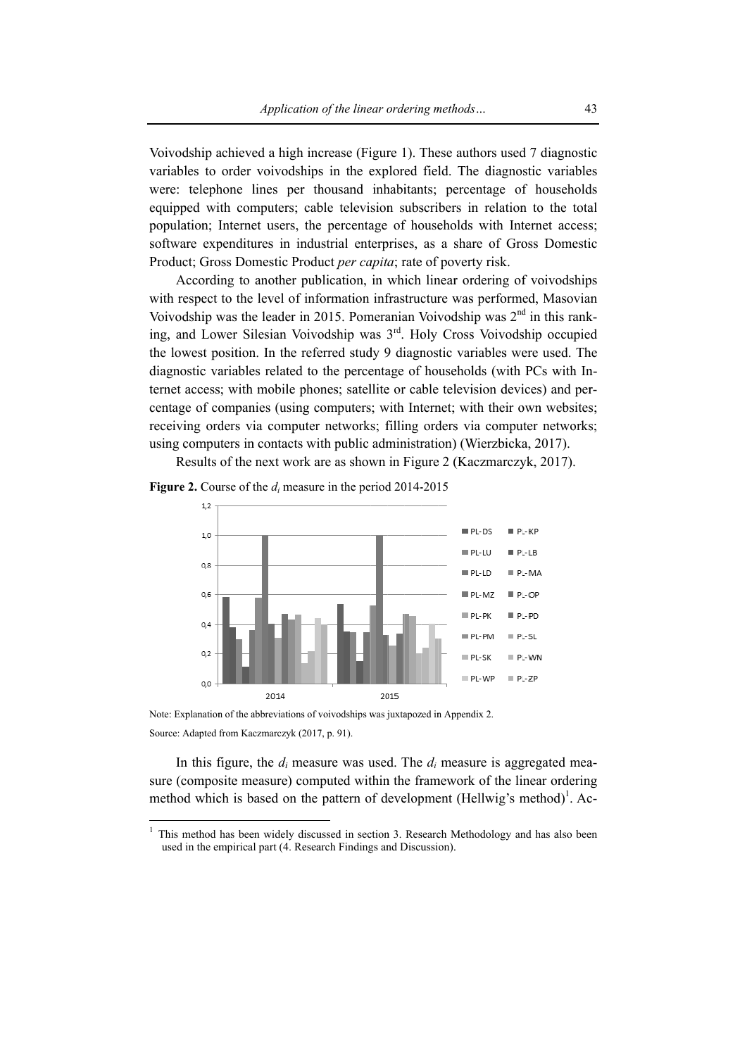Voivodship achieved a high increase (Figure 1). These authors used 7 diagnostic variables to order voivodships in the explored field. The diagnostic variables were: telephone lines per thousand inhabitants; percentage of households equipped with computers; cable television subscribers in relation to the total population; Internet users, the percentage of households with Internet access; software expenditures in industrial enterprises, as a share of Gross Domestic Product; Gross Domestic Product per capita; rate of poverty risk.

According to another publication, in which linear ordering of voivodships with respect to the level of information infrastructure was performed, Masovian Voivodship was the leader in 2015. Pomeranian Voivodship was 2<sup>nd</sup> in this ranking, and Lower Silesian Voivodship was 3<sup>rd</sup>. Holy Cross Voivodship occupied the lowest position. In the referred study 9 diagnostic variables were used. The diagnostic variables related to the percentage of households (with PCs with Internet access; with mobile phones; satellite or cable television devices) and percentage of companies (using computers; with Internet; with their own websites; receiving orders via computer networks; filling orders via computer networks; using computers in contacts with public administration) (Wierzbicka, 2017).

Results of the next work are as shown in Figure 2 (Kaczmarczyk, 2017).

Figure 2. Course of the  $d_i$  measure in the period 2014-2015



Note: Explanation of the abbreviations of voivodships was juxtapozed in Appendix 2. Source: Adapted from Kaczmarczyk (2017, p. 91).

In this figure, the  $d_i$  measure was used. The  $d_i$  measure is aggregated measure (composite measure) computed within the framework of the linear ordering method which is based on the pattern of development (Hellwig's method)<sup>1</sup>. Ac-

 $1$  This method has been widely discussed in section 3. Research Methodology and has also been used in the empirical part (4. Research Findings and Discussion).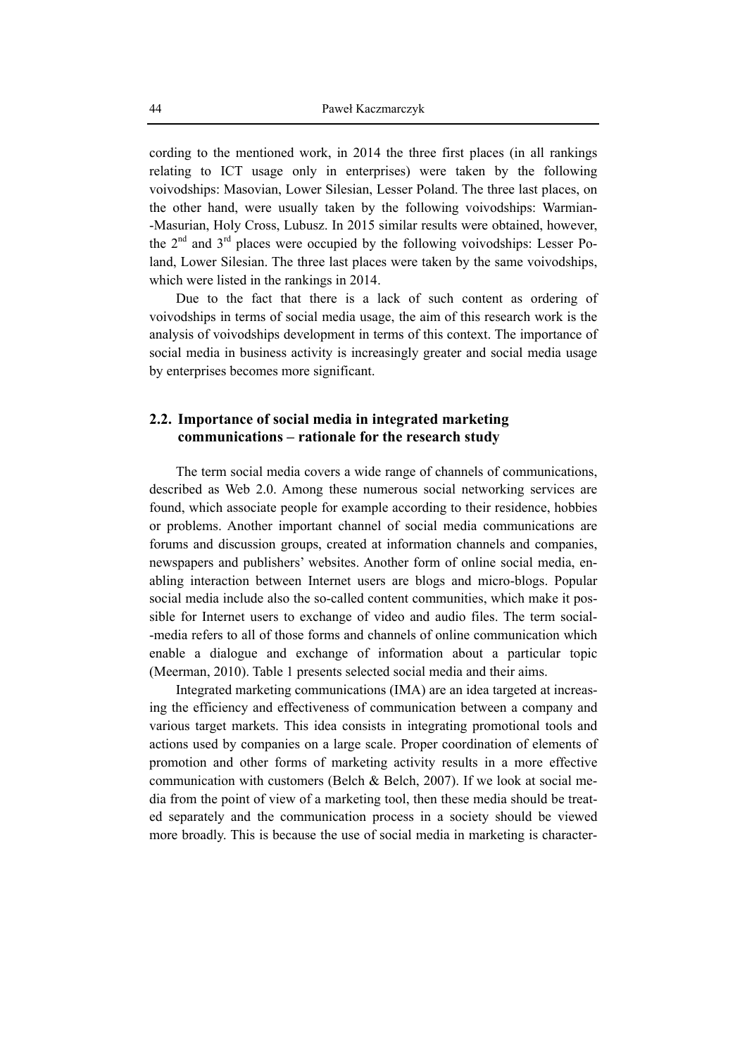cording to the mentioned work, in 2014 the three first places (in all rankings relating to ICT usage only in enterprises) were taken by the following voivodships: Masovian, Lower Silesian, Lesser Poland. The three last places, on the other hand, were usually taken by the following voivodships: Warmian- -Masurian, Holy Cross, Lubusz. In 2015 similar results were obtained, however, the  $2<sup>nd</sup>$  and  $3<sup>rd</sup>$  places were occupied by the following voivodships: Lesser Poland, Lower Silesian. The three last places were taken by the same voivodships, which were listed in the rankings in 2014.

Due to the fact that there is a lack of such content as ordering of voivodships in terms of social media usage, the aim of this research work is the analysis of voivodships development in terms of this context. The importance of social media in business activity is increasingly greater and social media usage by enterprises becomes more significant.

# **2.2. Importance of social media in integrated marketing communications – rationale for the research study**

The term social media covers a wide range of channels of communications, described as Web 2.0. Among these numerous social networking services are found, which associate people for example according to their residence, hobbies or problems. Another important channel of social media communications are forums and discussion groups, created at information channels and companies, newspapers and publishers' websites. Another form of online social media, enabling interaction between Internet users are blogs and micro-blogs. Popular social media include also the so-called content communities, which make it possible for Internet users to exchange of video and audio files. The term social- -media refers to all of those forms and channels of online communication which enable a dialogue and exchange of information about a particular topic (Meerman, 2010). Table 1 presents selected social media and their aims.

Integrated marketing communications (IMA) are an idea targeted at increasing the efficiency and effectiveness of communication between a company and various target markets. This idea consists in integrating promotional tools and actions used by companies on a large scale. Proper coordination of elements of promotion and other forms of marketing activity results in a more effective communication with customers (Belch & Belch, 2007). If we look at social media from the point of view of a marketing tool, then these media should be treated separately and the communication process in a society should be viewed more broadly. This is because the use of social media in marketing is character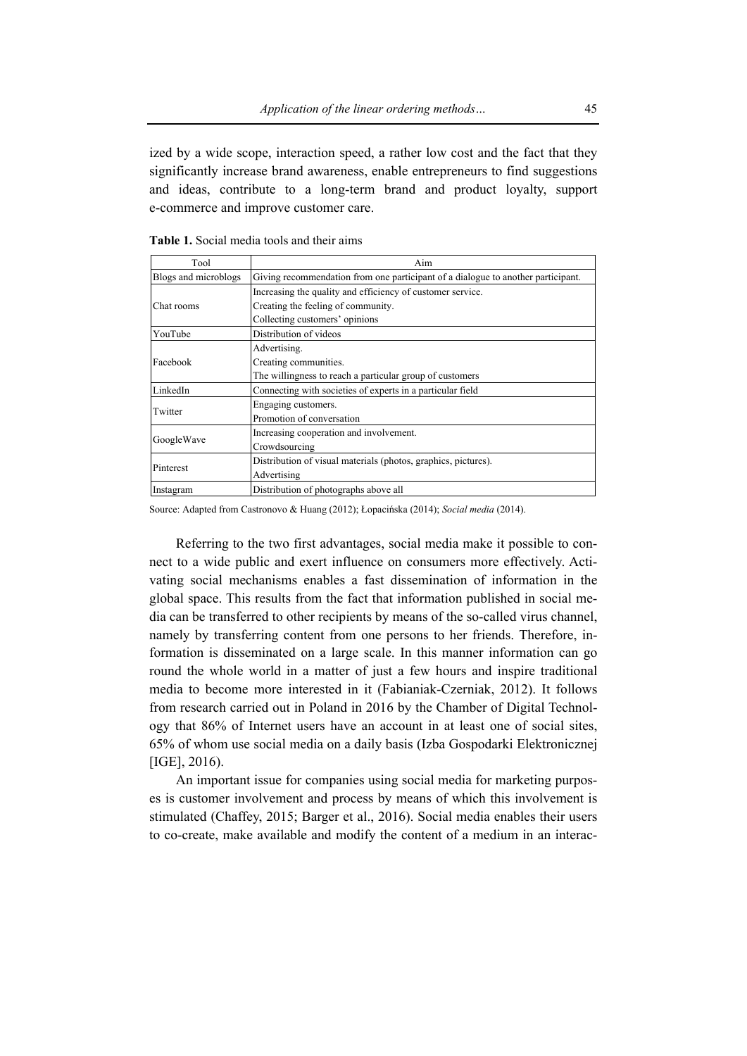ized by a wide scope, interaction speed, a rather low cost and the fact that they significantly increase brand awareness, enable entrepreneurs to find suggestions and ideas, contribute to a long-term brand and product loyalty, support e-commerce and improve customer care.

| Tool                 | Aim                                                                              |
|----------------------|----------------------------------------------------------------------------------|
| Blogs and microblogs | Giving recommendation from one participant of a dialogue to another participant. |
|                      | Increasing the quality and efficiency of customer service.                       |
| Chat rooms           | Creating the feeling of community.                                               |
|                      | Collecting customers' opinions                                                   |
| YouTube              | Distribution of videos                                                           |
|                      | Advertising.                                                                     |
| Facebook             | Creating communities.                                                            |
|                      | The willingness to reach a particular group of customers                         |
| LinkedIn             | Connecting with societies of experts in a particular field                       |
| Twitter              | Engaging customers.                                                              |
|                      | Promotion of conversation                                                        |
|                      | Increasing cooperation and involvement.                                          |
| GoogleWave           | Crowdsourcing                                                                    |
| Pinterest            | Distribution of visual materials (photos, graphics, pictures).                   |
|                      | Advertising                                                                      |
| Instagram            | Distribution of photographs above all                                            |

**Table 1.** Social media tools and their aims

Source: Adapted from Castronovo & Huang (2012); Łopacińska (2014); *Social media* (2014).

Referring to the two first advantages, social media make it possible to connect to a wide public and exert influence on consumers more effectively. Activating social mechanisms enables a fast dissemination of information in the global space. This results from the fact that information published in social media can be transferred to other recipients by means of the so-called virus channel, namely by transferring content from one persons to her friends. Therefore, information is disseminated on a large scale. In this manner information can go round the whole world in a matter of just a few hours and inspire traditional media to become more interested in it (Fabianiak-Czerniak, 2012). It follows from research carried out in Poland in 2016 by the Chamber of Digital Technology that 86% of Internet users have an account in at least one of social sites, 65% of whom use social media on a daily basis (Izba Gospodarki Elektronicznej [IGE], 2016).

An important issue for companies using social media for marketing purposes is customer involvement and process by means of which this involvement is stimulated (Chaffey, 2015; Barger et al., 2016). Social media enables their users to co-create, make available and modify the content of a medium in an interac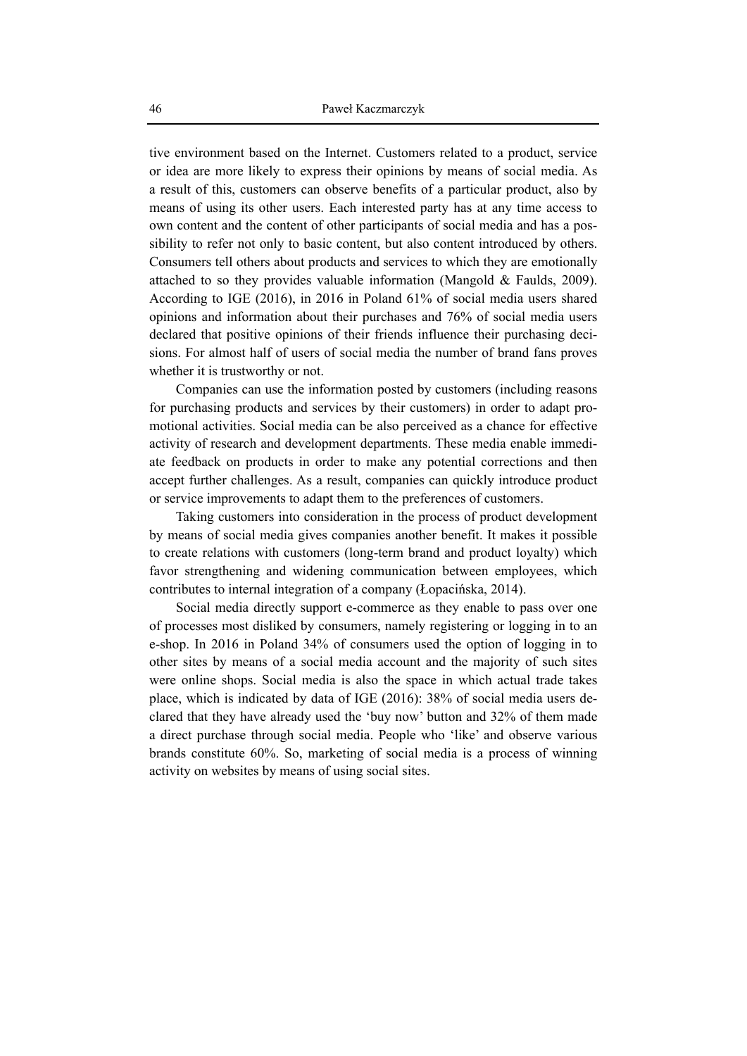tive environment based on the Internet. Customers related to a product, service or idea are more likely to express their opinions by means of social media. As a result of this, customers can observe benefits of a particular product, also by means of using its other users. Each interested party has at any time access to own content and the content of other participants of social media and has a possibility to refer not only to basic content, but also content introduced by others. Consumers tell others about products and services to which they are emotionally attached to so they provides valuable information (Mangold  $&$  Faulds, 2009). According to IGE (2016), in 2016 in Poland 61% of social media users shared opinions and information about their purchases and 76% of social media users declared that positive opinions of their friends influence their purchasing decisions. For almost half of users of social media the number of brand fans proves whether it is trustworthy or not.

Companies can use the information posted by customers (including reasons for purchasing products and services by their customers) in order to adapt promotional activities. Social media can be also perceived as a chance for effective activity of research and development departments. These media enable immediate feedback on products in order to make any potential corrections and then accept further challenges. As a result, companies can quickly introduce product or service improvements to adapt them to the preferences of customers.

Taking customers into consideration in the process of product development by means of social media gives companies another benefit. It makes it possible to create relations with customers (long-term brand and product loyalty) which favor strengthening and widening communication between employees, which contributes to internal integration of a company (Łopacińska, 2014).

Social media directly support e-commerce as they enable to pass over one of processes most disliked by consumers, namely registering or logging in to an e-shop. In 2016 in Poland 34% of consumers used the option of logging in to other sites by means of a social media account and the majority of such sites were online shops. Social media is also the space in which actual trade takes place, which is indicated by data of IGE (2016): 38% of social media users declared that they have already used the 'buy now' button and 32% of them made a direct purchase through social media. People who 'like' and observe various brands constitute 60%. So, marketing of social media is a process of winning activity on websites by means of using social sites.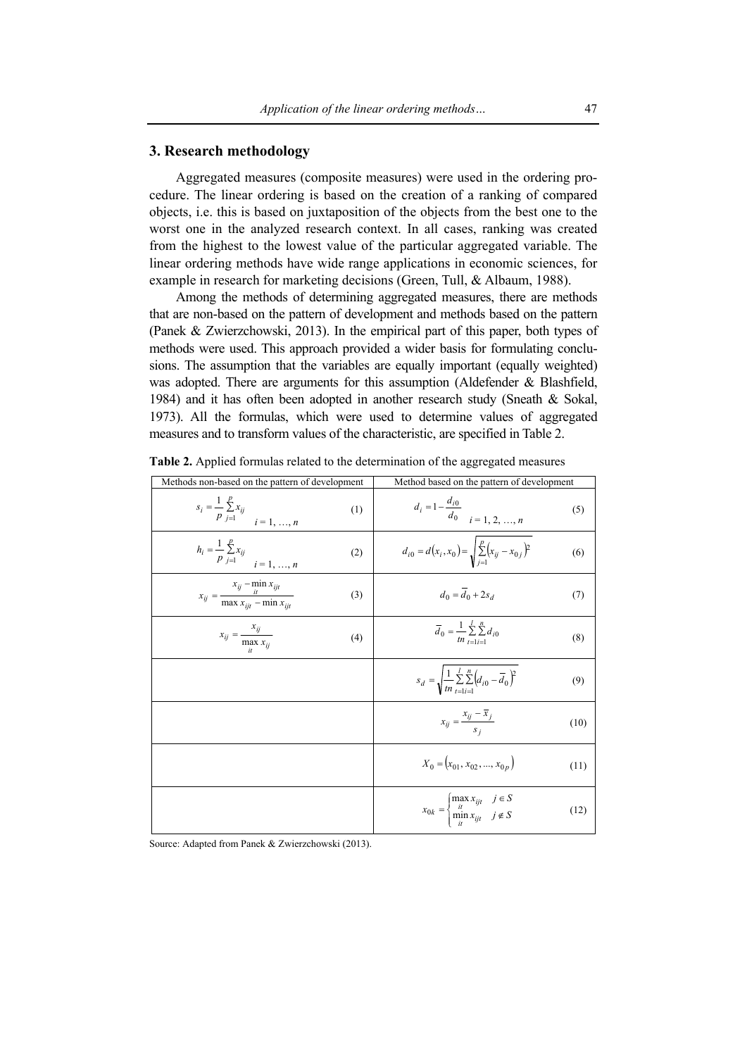#### **3. Research methodology**

Aggregated measures (composite measures) were used in the ordering procedure. The linear ordering is based on the creation of a ranking of compared objects, i.e. this is based on juxtaposition of the objects from the best one to the worst one in the analyzed research context. In all cases, ranking was created from the highest to the lowest value of the particular aggregated variable. The linear ordering methods have wide range applications in economic sciences, for example in research for marketing decisions (Green, Tull, & Albaum, 1988).

Among the methods of determining aggregated measures, there are methods that are non-based on the pattern of development and methods based on the pattern (Panek & Zwierzchowski, 2013). In the empirical part of this paper, both types of methods were used. This approach provided a wider basis for formulating conclusions. The assumption that the variables are equally important (equally weighted) was adopted. There are arguments for this assumption (Aldefender & Blashfield, 1984) and it has often been adopted in another research study (Sneath & Sokal, 1973). All the formulas, which were used to determine values of aggregated measures and to transform values of the characteristic, are specified in Table 2.

| Methods non-based on the pattern of development                                  | Method based on the pattern of development                                                       |
|----------------------------------------------------------------------------------|--------------------------------------------------------------------------------------------------|
| $s_i = \frac{1}{p} \sum_{j=1}^{p} x_{ij}$<br>$i = 1, , n$<br>(1)                 | $d_i = 1 - \frac{d_{i0}}{d_0}$<br>$i = 1, 2, , n$<br>(5)                                         |
| $h_i = \frac{1}{p} \sum_{j=1}^{p} x_{ij}$<br>$i = \underline{1, , n}$<br>(2)     | $d_{i0} = d(x_i, x_0) = \sqrt{\sum_{i=1}^{p} (x_{ij} - x_{0i})^2}$<br>(6)                        |
| $x_{ij} = \frac{x_{ij} - \min_{it} x_{ijt}}{\max x_{ijt} - \min x_{ijt}}$<br>(3) | $d_0 = d_0 + 2s_d$<br>(7)                                                                        |
| $x_{ij} = \frac{x_{ij}}{\max_{i} x_{ij}}$<br>(4)                                 | $\overline{d}_0 = \frac{1}{tn} \sum_{i=1}^{l} \sum_{i=1}^{n} d_{i0}$<br>(8)                      |
|                                                                                  | $s_d = \sqrt{\frac{1}{m} \sum_{i=1}^{l} \sum_{i=1}^{n} (d_{i0} - \overline{d}_0)^2}$<br>(9)      |
|                                                                                  | $x_{ij} = \frac{x_{ij} - x_j}{s_i}$<br>(10)                                                      |
|                                                                                  | $X_0 = (x_{01}, x_{02}, , x_{0n})$<br>(11)                                                       |
|                                                                                  | $x_{0k} = \begin{cases} \max x_{ijt} & j \in S \\ \min x_{ijt} & j \notin S \end{cases}$<br>(12) |

**Table 2.** Applied formulas related to the determination of the aggregated measures

Source: Adapted from Panek & Zwierzchowski (2013).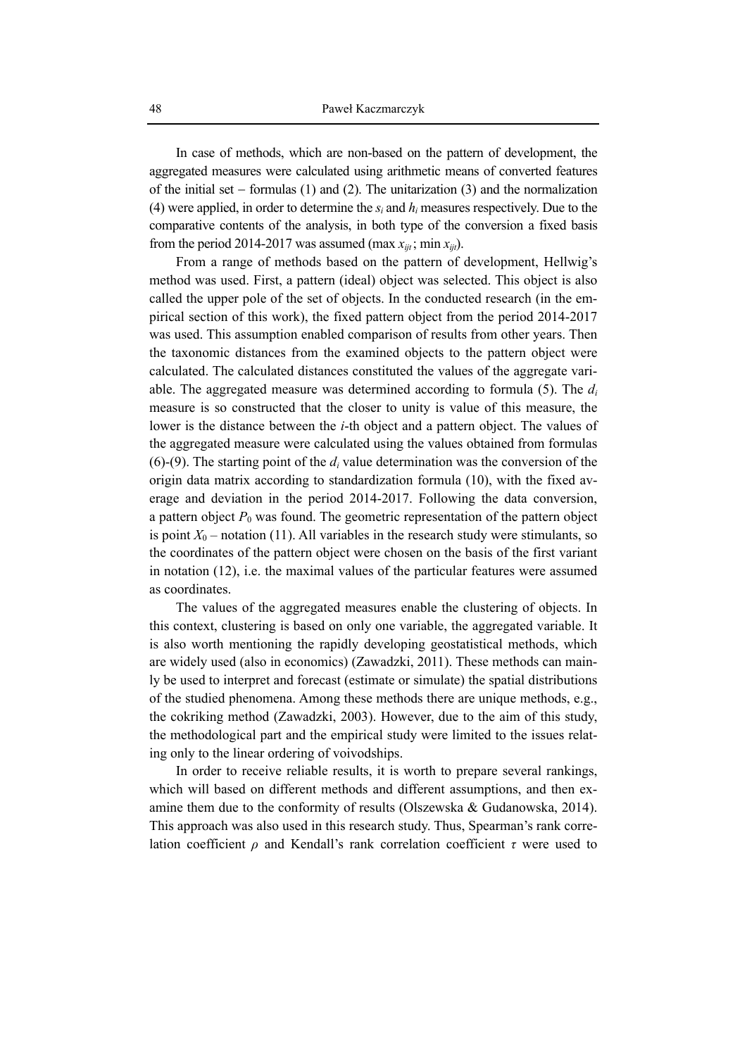In case of methods, which are non-based on the pattern of development, the aggregated measures were calculated using arithmetic means of converted features of the initial set − formulas (1) and (2). The unitarization (3) and the normalization (4) were applied, in order to determine the *si* and *hi* measures respectively. Due to the comparative contents of the analysis, in both type of the conversion a fixed basis from the period 2014-2017 was assumed (max  $x_{iit}$ ; min  $x_{iit}$ ).

From a range of methods based on the pattern of development, Hellwig's method was used. First, a pattern (ideal) object was selected. This object is also called the upper pole of the set of objects. In the conducted research (in the empirical section of this work), the fixed pattern object from the period 2014-2017 was used. This assumption enabled comparison of results from other years. Then the taxonomic distances from the examined objects to the pattern object were calculated. The calculated distances constituted the values of the aggregate variable. The aggregated measure was determined according to formula (5). The *di* measure is so constructed that the closer to unity is value of this measure, the lower is the distance between the *i*-th object and a pattern object. The values of the aggregated measure were calculated using the values obtained from formulas  $(6)$ - $(9)$ . The starting point of the  $d_i$  value determination was the conversion of the origin data matrix according to standardization formula (10), with the fixed average and deviation in the period 2014-2017. Following the data conversion, a pattern object  $P_0$  was found. The geometric representation of the pattern object is point  $X_0$  – notation (11). All variables in the research study were stimulants, so the coordinates of the pattern object were chosen on the basis of the first variant in notation (12), i.e. the maximal values of the particular features were assumed as coordinates.

The values of the aggregated measures enable the clustering of objects. In this context, clustering is based on only one variable, the aggregated variable. It is also worth mentioning the rapidly developing geostatistical methods, which are widely used (also in economics) (Zawadzki, 2011). These methods can mainly be used to interpret and forecast (estimate or simulate) the spatial distributions of the studied phenomena. Among these methods there are unique methods, e.g., the cokriking method (Zawadzki, 2003). However, due to the aim of this study, the methodological part and the empirical study were limited to the issues relating only to the linear ordering of voivodships.

In order to receive reliable results, it is worth to prepare several rankings, which will based on different methods and different assumptions, and then examine them due to the conformity of results (Olszewska & Gudanowska, 2014). This approach was also used in this research study. Thus, Spearman's rank correlation coefficient *ρ* and Kendall's rank correlation coefficient *τ* were used to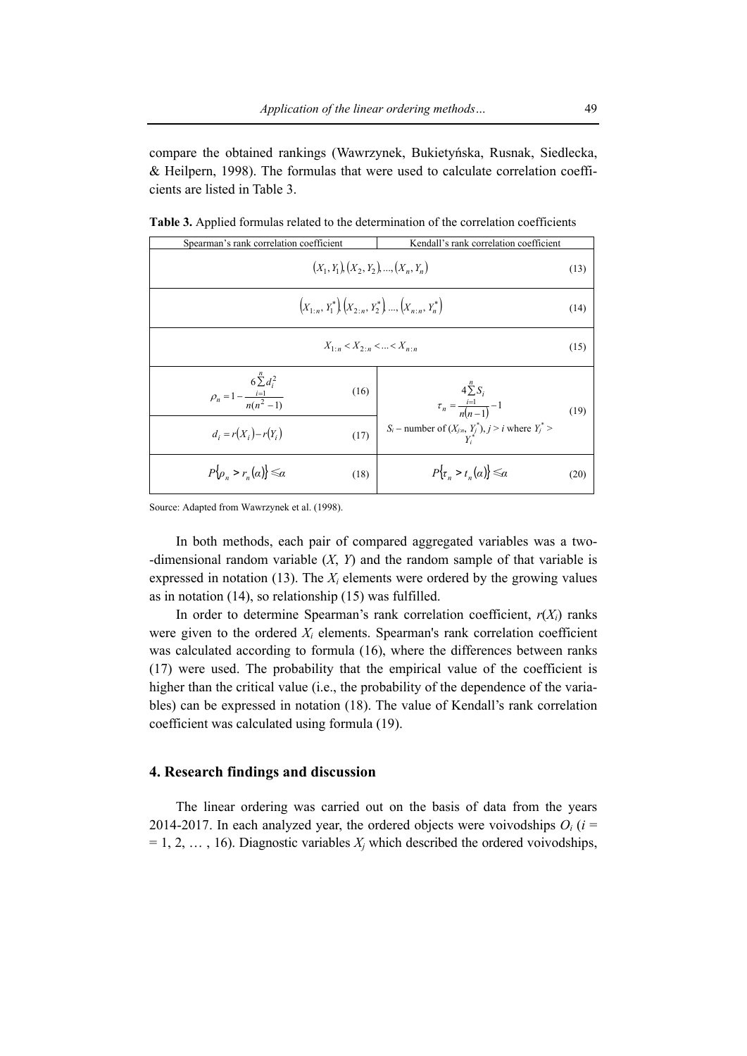compare the obtained rankings (Wawrzynek, Bukietyńska, Rusnak, Siedlecka, & Heilpern, 1998). The formulas that were used to calculate correlation coefficients are listed in Table 3.

| Spearman's rank correlation coefficient                                                                   | Kendall's rank correlation coefficient                                                                                                |      |  |  |  |  |
|-----------------------------------------------------------------------------------------------------------|---------------------------------------------------------------------------------------------------------------------------------------|------|--|--|--|--|
| $(X_1, Y_1), (X_2, Y_2), , (X_n, Y_n)$                                                                    |                                                                                                                                       |      |  |  |  |  |
| $\left(X_{1\cdot n}, Y_1^*\right)\left(X_{2\cdot n}, Y_2^*\right) \dots \left(X_{n\cdot n}, Y_n^*\right)$ |                                                                                                                                       |      |  |  |  |  |
| $X_{1\cdot n} < X_{2\cdot n} <  < X_{n\cdot n}$                                                           |                                                                                                                                       | (15) |  |  |  |  |
| $\rho_n = 1 - \frac{6 \sum_{i=1}^{n} d_i^2}{n(n^2 - 1)}$<br>(16)<br>$d_i = r(X_i) - r(Y_i)$<br>(17)       | $4\sum_{i=1}^{n}S_i$<br>$\tau_n = \frac{i=1}{n(n-1)} - 1$<br>$S_i$ – number of $(X_{j:n}, Y^*_{\mathbf{y}}), j > i$ where $Y^*_{j}$ > | (19) |  |  |  |  |
| $P\{\rho_{n} > r_{n}(\alpha)\} \leq \alpha$<br>(18)                                                       | $P\{\tau_n > t_n(\alpha)\} \leq \alpha$                                                                                               | (20) |  |  |  |  |

**Table 3.** Applied formulas related to the determination of the correlation coefficients

Source: Adapted from Wawrzynek et al. (1998).

In both methods, each pair of compared aggregated variables was a two- -dimensional random variable (*X*, *Y*) and the random sample of that variable is expressed in notation  $(13)$ . The  $X_i$  elements were ordered by the growing values as in notation (14), so relationship (15) was fulfilled.

In order to determine Spearman's rank correlation coefficient,  $r(X_i)$  ranks were given to the ordered  $X_i$  elements. Spearman's rank correlation coefficient was calculated according to formula (16), where the differences between ranks (17) were used. The probability that the empirical value of the coefficient is higher than the critical value (i.e., the probability of the dependence of the variables) can be expressed in notation (18). The value of Kendall's rank correlation coefficient was calculated using formula (19).

#### **4. Research findings and discussion**

The linear ordering was carried out on the basis of data from the years 2014-2017. In each analyzed year, the ordered objects were voivodships  $O_i$  ( $i =$  $= 1, 2, \ldots, 16$ ). Diagnostic variables  $X_i$  which described the ordered voivodships,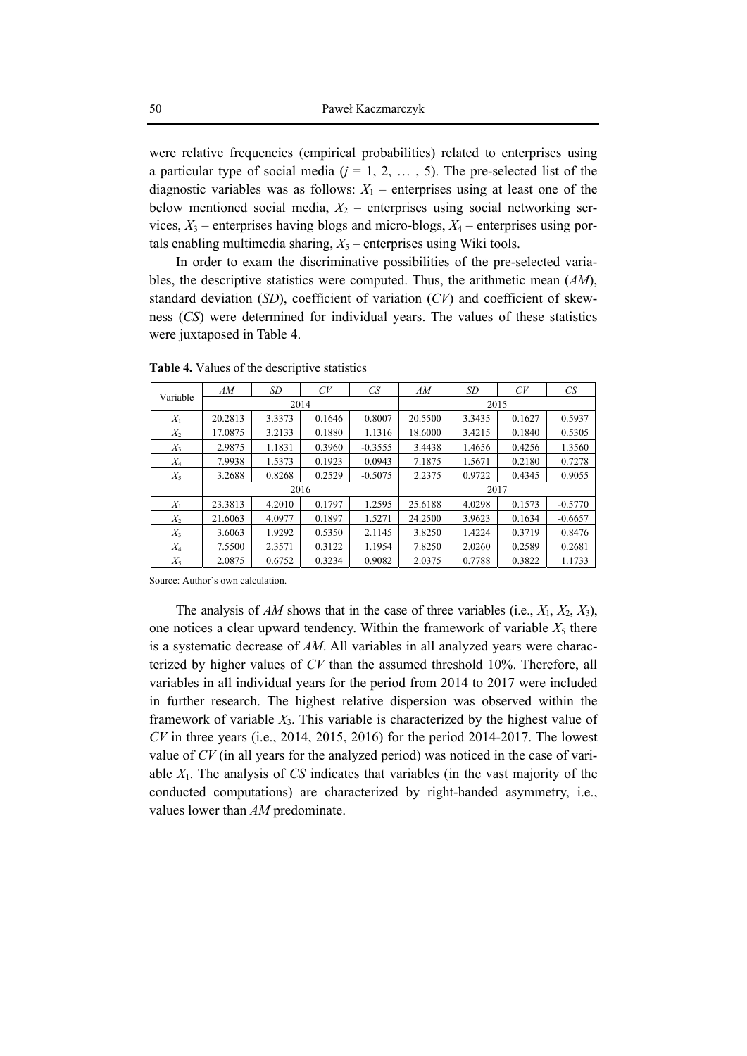were relative frequencies (empirical probabilities) related to enterprises using a particular type of social media  $(j = 1, 2, \ldots, 5)$ . The pre-selected list of the diagnostic variables was as follows:  $X_1$  – enterprises using at least one of the below mentioned social media,  $X_2$  – enterprises using social networking services,  $X_3$  – enterprises having blogs and micro-blogs,  $X_4$  – enterprises using portals enabling multimedia sharing,  $X_5$  – enterprises using Wiki tools.

In order to exam the discriminative possibilities of the pre-selected variables, the descriptive statistics were computed. Thus, the arithmetic mean (*AM*), standard deviation (*SD*), coefficient of variation (*CV*) and coefficient of skewness (*CS*) were determined for individual years. The values of these statistics were juxtaposed in Table 4.

| Variable | AM      | SD     | CV     | CS        | AM      | SD     | CV     | CS        |  |
|----------|---------|--------|--------|-----------|---------|--------|--------|-----------|--|
|          |         |        | 2014   |           | 2015    |        |        |           |  |
| $X_1$    | 20.2813 | 3.3373 | 0.1646 | 0.8007    | 20.5500 | 3.3435 | 0.1627 | 0.5937    |  |
| $X_2$    | 17.0875 | 3.2133 | 0.1880 | 1.1316    | 18.6000 | 3.4215 | 0.1840 | 0.5305    |  |
| $X_3$    | 2.9875  | 1.1831 | 0.3960 | $-0.3555$ | 3.4438  | 1.4656 | 0.4256 | 1.3560    |  |
| $X_4$    | 7.9938  | 1.5373 | 0.1923 | 0.0943    | 7.1875  | 1.5671 | 0.2180 | 0.7278    |  |
| $X_5$    | 3.2688  | 0.8268 | 0.2529 | $-0.5075$ | 2.2375  | 0.9722 | 0.4345 | 0.9055    |  |
|          |         |        | 2016   |           | 2017    |        |        |           |  |
| $X_1$    | 23.3813 | 4.2010 | 0.1797 | 1.2595    | 25.6188 | 4.0298 | 0.1573 | $-0.5770$ |  |
| $X_2$    | 21.6063 | 4.0977 | 0.1897 | 1.5271    | 24.2500 | 3.9623 | 0.1634 | $-0.6657$ |  |
| $X_3$    | 3.6063  | 1.9292 | 0.5350 | 2.1145    | 3.8250  | 1.4224 | 0.3719 | 0.8476    |  |
| $X_4$    | 7.5500  | 2.3571 | 0.3122 | 1.1954    | 7.8250  | 2.0260 | 0.2589 | 0.2681    |  |
| $X_5$    | 2.0875  | 0.6752 | 0.3234 | 0.9082    | 2.0375  | 0.7788 | 0.3822 | 1.1733    |  |

**Table 4.** Values of the descriptive statistics

Source: Author's own calculation.

The analysis of *AM* shows that in the case of three variables (i.e., *X*1, *X*2, *X*3), one notices a clear upward tendency. Within the framework of variable  $X_5$  there is a systematic decrease of *AM*. All variables in all analyzed years were characterized by higher values of *CV* than the assumed threshold 10%. Therefore, all variables in all individual years for the period from 2014 to 2017 were included in further research. The highest relative dispersion was observed within the framework of variable  $X_3$ . This variable is characterized by the highest value of *CV* in three years (i.e., 2014, 2015, 2016) for the period 2014-2017. The lowest value of *CV* (in all years for the analyzed period) was noticed in the case of variable  $X_1$ . The analysis of  $CS$  indicates that variables (in the vast majority of the conducted computations) are characterized by right-handed asymmetry, i.e., values lower than *AM* predominate.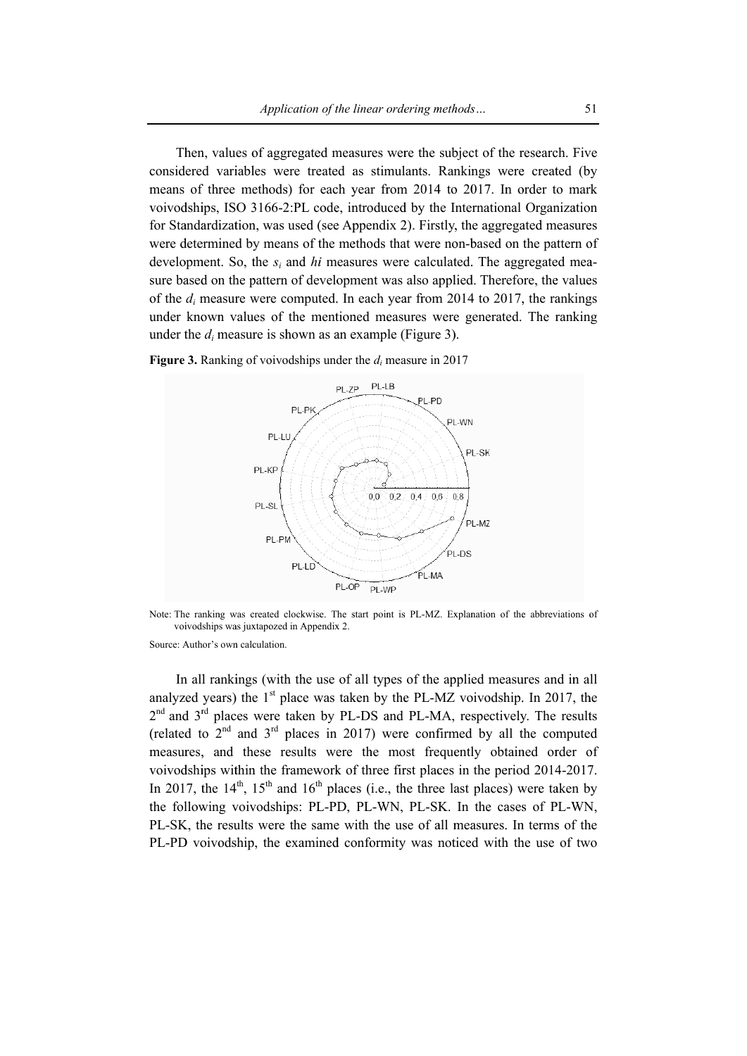Then, values of aggregated measures were the subject of the research. Five considered variables were treated as stimulants. Rankings were created (by means of three methods) for each year from 2014 to 2017. In order to mark voivodships, ISO 3166-2:PL code, introduced by the International Organization for Standardization, was used (see Appendix 2). Firstly, the aggregated measures were determined by means of the methods that were non-based on the pattern of development. So, the  $s_i$  and hi measures were calculated. The aggregated measure based on the pattern of development was also applied. Therefore, the values of the  $d_i$  measure were computed. In each year from 2014 to 2017, the rankings under known values of the mentioned measures were generated. The ranking under the  $d_i$  measure is shown as an example (Figure 3).



**Figure 3.** Ranking of voivodships under the  $d_i$  measure in 2017

Note: The ranking was created clockwise. The start point is PL-MZ. Explanation of the abbreviations of voivodships was juxtapozed in Appendix 2.

#### Source: Author's own calculation.

In all rankings (with the use of all types of the applied measures and in all analyzed years) the  $1<sup>st</sup>$  place was taken by the PL-MZ voivodship. In 2017, the 2<sup>nd</sup> and 3<sup>rd</sup> places were taken by PL-DS and PL-MA, respectively. The results (related to  $2<sup>nd</sup>$  and  $3<sup>rd</sup>$  places in 2017) were confirmed by all the computed measures, and these results were the most frequently obtained order of voivodships within the framework of three first places in the period 2014-2017. In 2017, the  $14<sup>th</sup>$ ,  $15<sup>th</sup>$  and  $16<sup>th</sup>$  places (i.e., the three last places) were taken by the following voivodships: PL-PD, PL-WN, PL-SK. In the cases of PL-WN, PL-SK, the results were the same with the use of all measures. In terms of the PL-PD voivodship, the examined conformity was noticed with the use of two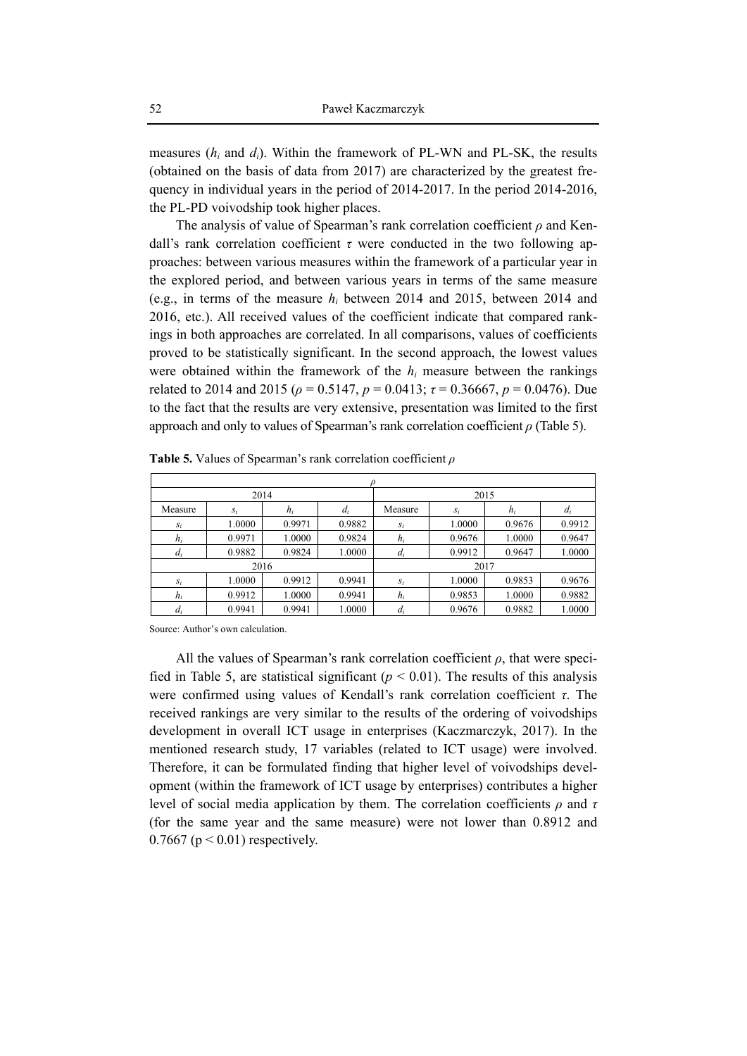measures (*hi* and *di*). Within the framework of PL-WN and PL-SK, the results (obtained on the basis of data from 2017) are characterized by the greatest frequency in individual years in the period of 2014-2017. In the period 2014-2016, the PL-PD voivodship took higher places.

The analysis of value of Spearman's rank correlation coefficient *ρ* and Kendall's rank correlation coefficient  $\tau$  were conducted in the two following approaches: between various measures within the framework of a particular year in the explored period, and between various years in terms of the same measure (e.g., in terms of the measure *hi* between 2014 and 2015, between 2014 and 2016, etc.). All received values of the coefficient indicate that compared rankings in both approaches are correlated. In all comparisons, values of coefficients proved to be statistically significant. In the second approach, the lowest values were obtained within the framework of the  $h_i$  measure between the rankings related to 2014 and 2015 ( $\rho = 0.5147$ ,  $p = 0.0413$ ;  $\tau = 0.36667$ ,  $p = 0.0476$ ). Due to the fact that the results are very extensive, presentation was limited to the first approach and only to values of Spearman's rank correlation coefficient *ρ* (Table 5).

|         |        | 2014   |        |         |        | 2015   |        |
|---------|--------|--------|--------|---------|--------|--------|--------|
| Measure | $S_i$  | $h_i$  | $d_i$  | Measure | $S_i$  | $h_i$  | $d_i$  |
| $S_i$   | 1.0000 | 0.9971 | 0.9882 | $S_i$   | 1.0000 | 0.9676 | 0.9912 |
| $h_i$   | 0.9971 | 1.0000 | 0.9824 | $h_i$   | 0.9676 | 1.0000 | 0.9647 |
| $d_i$   | 0.9882 | 0.9824 | 1.0000 | $d_i$   | 0.9912 | 0.9647 | 1.0000 |
|         |        | 2016   |        |         | 2017   |        |        |
| $S_i$   | 1.0000 | 0.9912 | 0.9941 | $S_i$   | 1.0000 | 0.9853 | 0.9676 |
| $h_i$   | 0.9912 | 1.0000 | 0.9941 | $h_i$   | 0.9853 | 1.0000 | 0.9882 |
| $d_i$   | 0.9941 | 0.9941 | 1.0000 | $d_i$   | 0.9676 | 0.9882 | 1.0000 |

**Table 5.** Values of Spearman's rank correlation coefficient *ρ*

Source: Author's own calculation.

All the values of Spearman's rank correlation coefficient *ρ*, that were specified in Table 5, are statistical significant ( $p < 0.01$ ). The results of this analysis were confirmed using values of Kendall's rank correlation coefficient *τ*. The received rankings are very similar to the results of the ordering of voivodships development in overall ICT usage in enterprises (Kaczmarczyk, 2017). In the mentioned research study, 17 variables (related to ICT usage) were involved. Therefore, it can be formulated finding that higher level of voivodships development (within the framework of ICT usage by enterprises) contributes a higher level of social media application by them. The correlation coefficients *ρ* and *τ* (for the same year and the same measure) were not lower than 0.8912 and  $0.7667$  ( $p < 0.01$ ) respectively.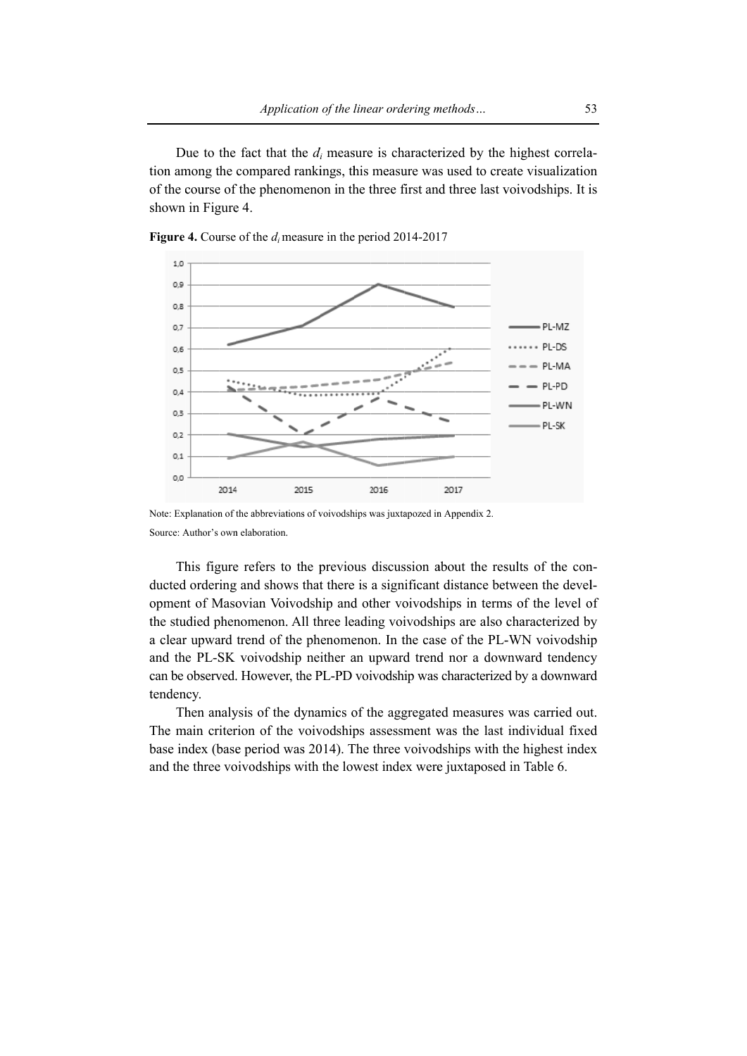Due to the fact that the  $d_i$  measure is characterized by the highest correlation among the compared rankings, this measure was used to create visualization of the course of the phenomenon in the three first and three last voivodships. It is shown in Figure 4.



Figure 4. Course of the  $d_i$  measure in the period 2014-2017

Note: Explanation of the abbreviations of voivodships was juxtapozed in Appendix 2. Source: Author's own elaboration.

This figure refers to the previous discussion about the results of the conducted ordering and shows that there is a significant distance between the development of Masovian Voivodship and other voivodships in terms of the level of the studied phenomenon. All three leading voivodships are also characterized by a clear upward trend of the phenomenon. In the case of the PL-WN voivodship and the PL-SK voivodship neither an upward trend nor a downward tendency can be observed. However, the PL-PD voivodship was characterized by a downward tendency.

Then analysis of the dynamics of the aggregated measures was carried out. The main criterion of the voivodships assessment was the last individual fixed base index (base period was 2014). The three voivodships with the highest index and the three voivodships with the lowest index were juxtaposed in Table 6.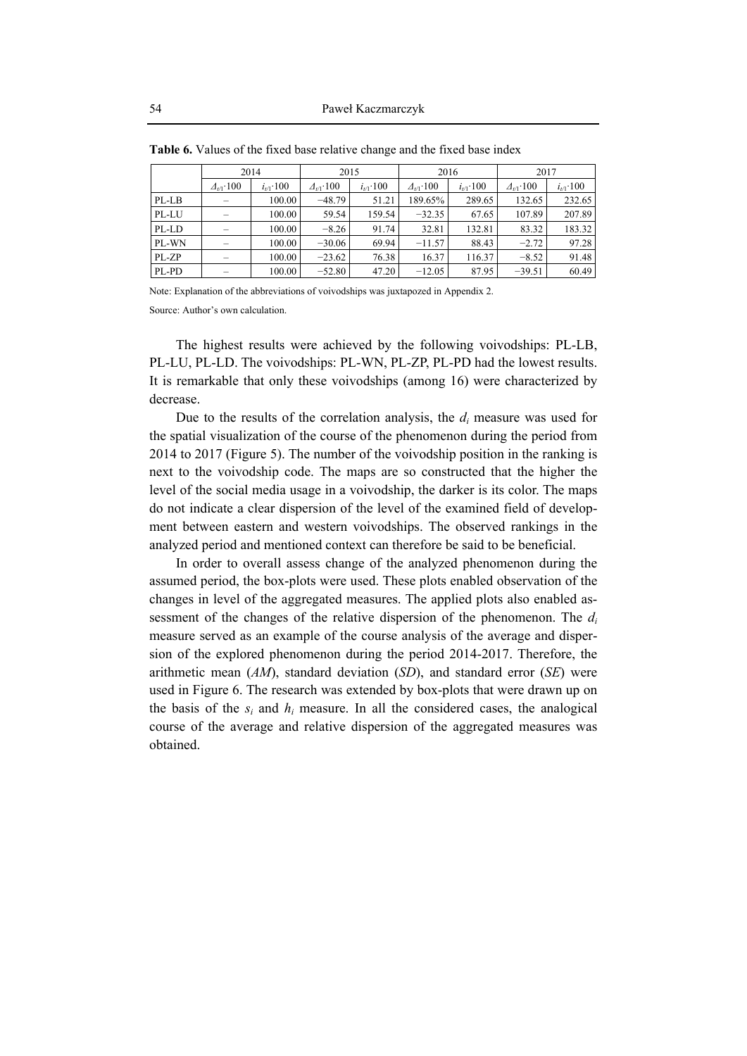|       | 2014               |               | 2015               |               | 2016               |               | 2017               |               |
|-------|--------------------|---------------|--------------------|---------------|--------------------|---------------|--------------------|---------------|
|       | $\Delta_{t/1}$ 100 | $i_{t/1}$ 100 | $\Delta_{t/1}$ 100 | $i_{t/1}$ 100 | $\Delta_{t/1}$ 100 | $i_{t/1}$ 100 | $\Delta_{t/1}$ 100 | $i_{t/1}$ 100 |
| PL-LB |                    | 100.00        | $-48.79$           | 51.21         | 189.65%            | 289.65        | 132.65             | 232.65        |
| PL-LU |                    | 100.00        | 59.54              | 159.54        | $-32.35$           | 67.65         | 107.89             | 207.89        |
| PL-LD |                    | 100.00        | $-8.26$            | 91.74         | 32.81              | 132.81        | 83.32              | 183.32        |
| PL-WN |                    | 100.00        | $-30.06$           | 69.94         | $-11.57$           | 88.43         | $-2.72$            | 97.28         |
| PL-ZP |                    | 100.00        | $-23.62$           | 76.38         | 16.37              | 116.37        | $-8.52$            | 91.48         |
| PL-PD |                    | 100.00        | $-52.80$           | 47.20         | $-12.05$           | 87.95         | $-39.51$           | 60.49         |

**Table 6.** Values of the fixed base relative change and the fixed base index

Note: Explanation of the abbreviations of voivodships was juxtapozed in Appendix 2.

Source: Author's own calculation.

The highest results were achieved by the following voivodships: PL-LB, PL-LU, PL-LD. The voivodships: PL-WN, PL-ZP, PL-PD had the lowest results. It is remarkable that only these voivodships (among 16) were characterized by decrease.

Due to the results of the correlation analysis, the *di* measure was used for the spatial visualization of the course of the phenomenon during the period from 2014 to 2017 (Figure 5). The number of the voivodship position in the ranking is next to the voivodship code. The maps are so constructed that the higher the level of the social media usage in a voivodship, the darker is its color. The maps do not indicate a clear dispersion of the level of the examined field of development between eastern and western voivodships. The observed rankings in the analyzed period and mentioned context can therefore be said to be beneficial.

In order to overall assess change of the analyzed phenomenon during the assumed period, the box-plots were used. These plots enabled observation of the changes in level of the aggregated measures. The applied plots also enabled assessment of the changes of the relative dispersion of the phenomenon. The *di* measure served as an example of the course analysis of the average and dispersion of the explored phenomenon during the period 2014-2017. Therefore, the arithmetic mean (*AM*), standard deviation (*SD*), and standard error (*SE*) were used in Figure 6. The research was extended by box-plots that were drawn up on the basis of the  $s_i$  and  $h_i$  measure. In all the considered cases, the analogical course of the average and relative dispersion of the aggregated measures was obtained.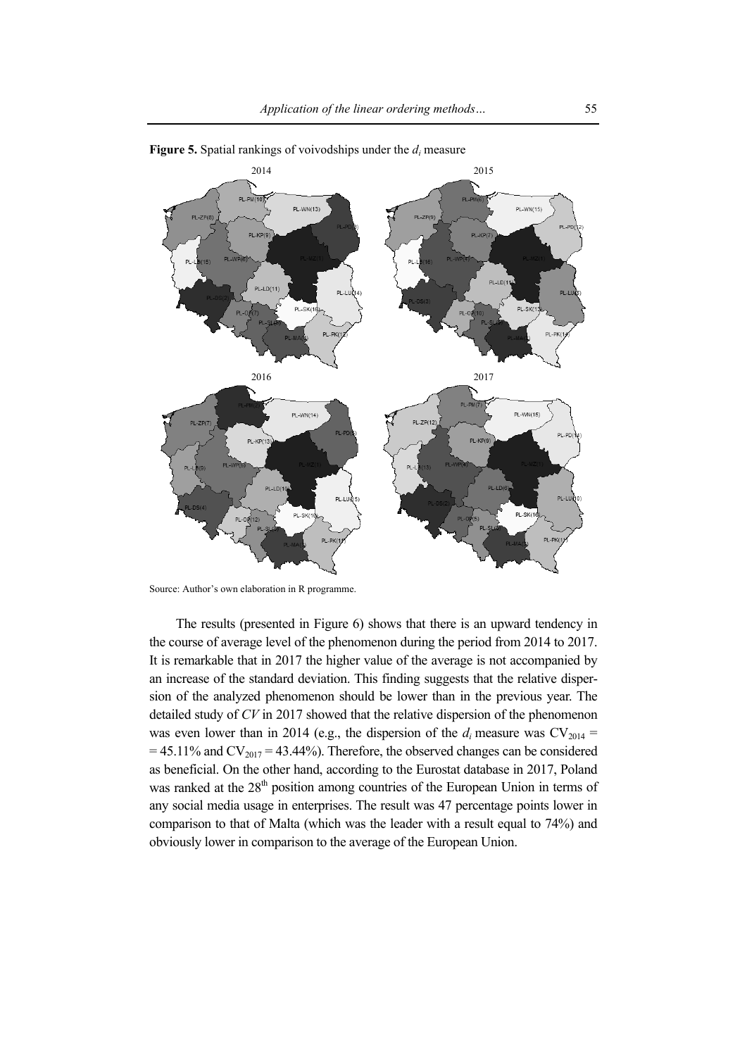

**Figure 5.** Spatial rankings of voivodships under the *di* measure

Source: Author's own elaboration in R programme.

The results (presented in Figure 6) shows that there is an upward tendency in the course of average level of the phenomenon during the period from 2014 to 2017. It is remarkable that in 2017 the higher value of the average is not accompanied by an increase of the standard deviation. This finding suggests that the relative dispersion of the analyzed phenomenon should be lower than in the previous year. The detailed study of *CV* in 2017 showed that the relative dispersion of the phenomenon was even lower than in 2014 (e.g., the dispersion of the  $d_i$  measure was  $CV_{2014}$  =  $= 45.11\%$  and  $CV_{2017} = 43.44\%$ ). Therefore, the observed changes can be considered as beneficial. On the other hand, according to the Eurostat database in 2017, Poland was ranked at the  $28<sup>th</sup>$  position among countries of the European Union in terms of any social media usage in enterprises. The result was 47 percentage points lower in comparison to that of Malta (which was the leader with a result equal to 74%) and obviously lower in comparison to the average of the European Union.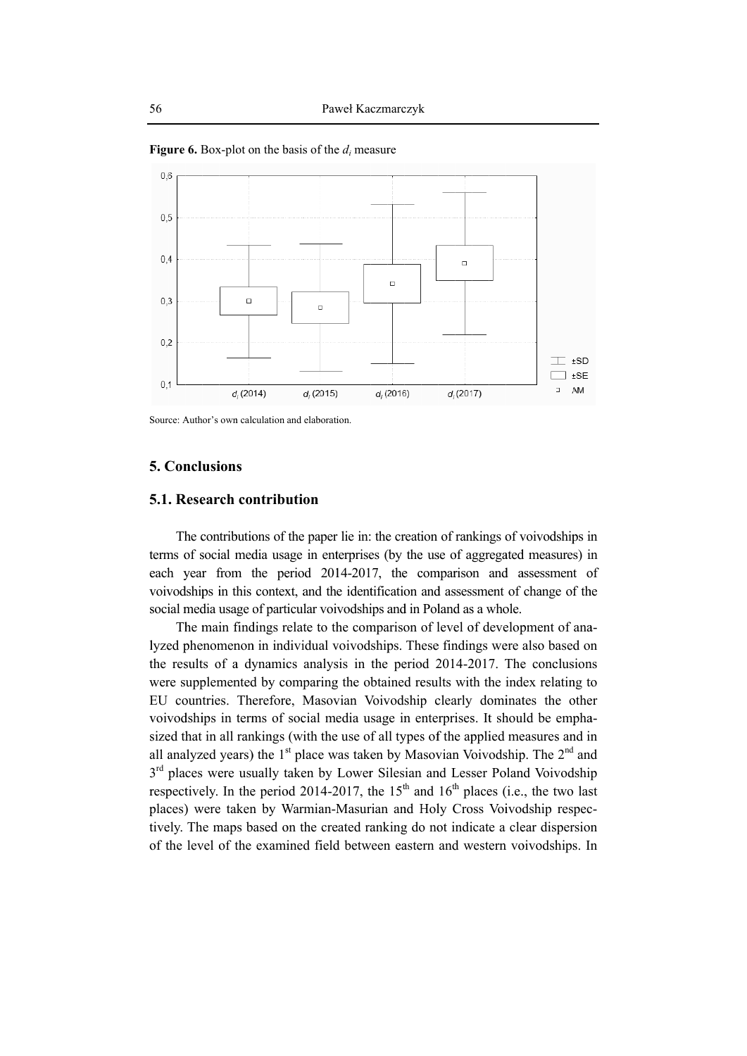

**Figure 6.** Box-plot on the basis of the  $d_i$  measure

Source: Author's own calculation and elaboration.

## **5. Conclusions**

#### **5.1. Research contribution**

The contributions of the paper lie in: the creation of rankings of voivodships in terms of social media usage in enterprises (by the use of aggregated measures) in each year from the period 2014-2017, the comparison and assessment of voivodships in this context, and the identification and assessment of change of the social media usage of particular voivodships and in Poland as a whole.

The main findings relate to the comparison of level of development of analyzed phenomenon in individual voivodships. These findings were also based on the results of a dynamics analysis in the period 2014-2017. The conclusions were supplemented by comparing the obtained results with the index relating to EU countries. Therefore, Masovian Voivodship clearly dominates the other voivodships in terms of social media usage in enterprises. It should be emphasized that in all rankings (with the use of all types of the applied measures and in all analyzed years) the  $1<sup>st</sup>$  place was taken by Masovian Voivodship. The  $2<sup>nd</sup>$  and 3<sup>rd</sup> places were usually taken by Lower Silesian and Lesser Poland Voivodship respectively. In the period 2014-2017, the  $15<sup>th</sup>$  and  $16<sup>th</sup>$  places (i.e., the two last places) were taken by Warmian-Masurian and Holy Cross Voivodship respectively. The maps based on the created ranking do not indicate a clear dispersion of the level of the examined field between eastern and western voivodships. In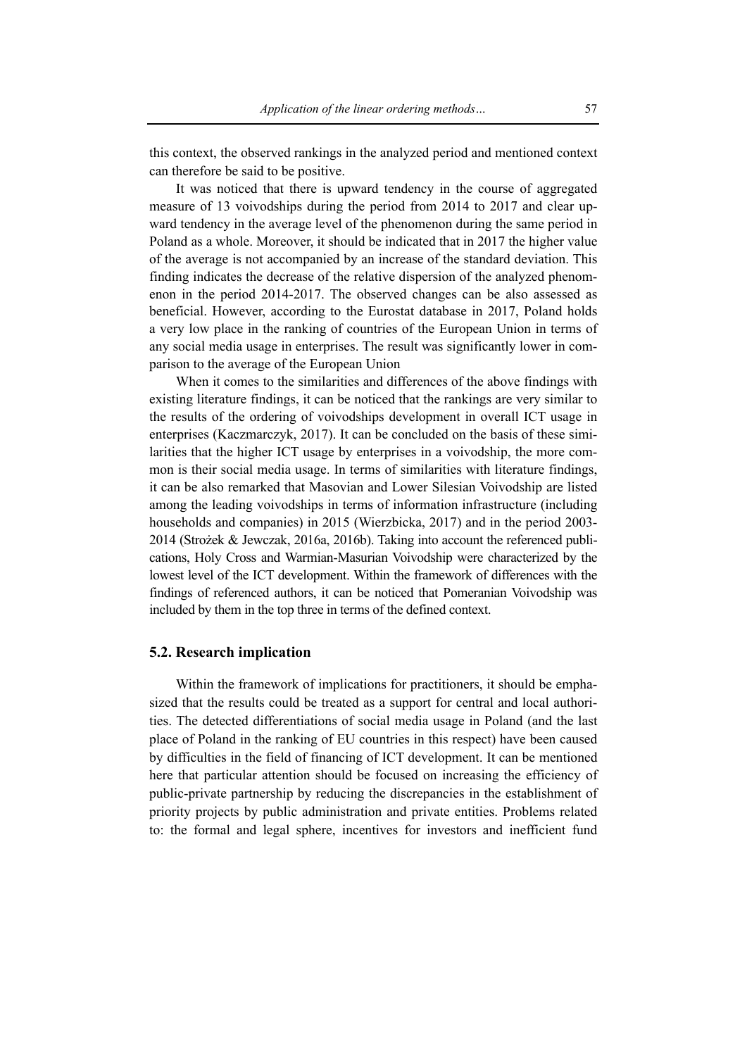this context, the observed rankings in the analyzed period and mentioned context can therefore be said to be positive.

It was noticed that there is upward tendency in the course of aggregated measure of 13 voivodships during the period from 2014 to 2017 and clear upward tendency in the average level of the phenomenon during the same period in Poland as a whole. Moreover, it should be indicated that in 2017 the higher value of the average is not accompanied by an increase of the standard deviation. This finding indicates the decrease of the relative dispersion of the analyzed phenomenon in the period 2014-2017. The observed changes can be also assessed as beneficial. However, according to the Eurostat database in 2017, Poland holds a very low place in the ranking of countries of the European Union in terms of any social media usage in enterprises. The result was significantly lower in comparison to the average of the European Union

When it comes to the similarities and differences of the above findings with existing literature findings, it can be noticed that the rankings are very similar to the results of the ordering of voivodships development in overall ICT usage in enterprises (Kaczmarczyk, 2017). It can be concluded on the basis of these similarities that the higher ICT usage by enterprises in a voivodship, the more common is their social media usage. In terms of similarities with literature findings, it can be also remarked that Masovian and Lower Silesian Voivodship are listed among the leading voivodships in terms of information infrastructure (including households and companies) in 2015 (Wierzbicka, 2017) and in the period 2003- 2014 (Strożek & Jewczak, 2016a, 2016b). Taking into account the referenced publications, Holy Cross and Warmian-Masurian Voivodship were characterized by the lowest level of the ICT development. Within the framework of differences with the findings of referenced authors, it can be noticed that Pomeranian Voivodship was included by them in the top three in terms of the defined context.

# **5.2. Research implication**

Within the framework of implications for practitioners, it should be emphasized that the results could be treated as a support for central and local authorities. The detected differentiations of social media usage in Poland (and the last place of Poland in the ranking of EU countries in this respect) have been caused by difficulties in the field of financing of ICT development. It can be mentioned here that particular attention should be focused on increasing the efficiency of public-private partnership by reducing the discrepancies in the establishment of priority projects by public administration and private entities. Problems related to: the formal and legal sphere, incentives for investors and inefficient fund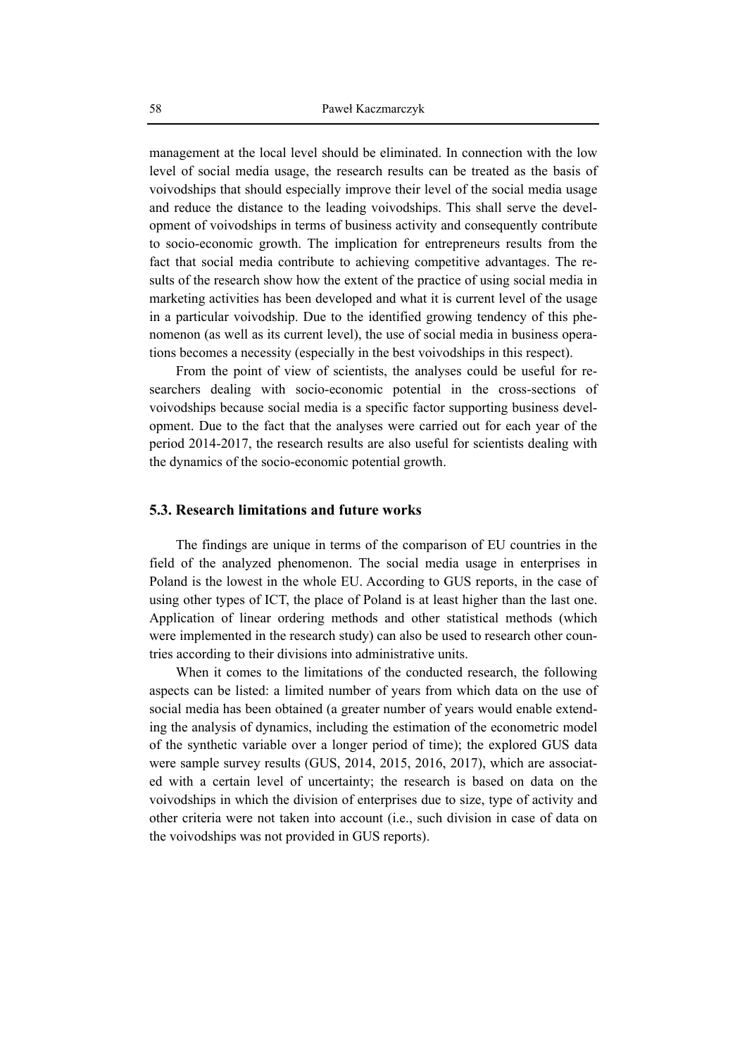management at the local level should be eliminated. In connection with the low level of social media usage, the research results can be treated as the basis of voivodships that should especially improve their level of the social media usage and reduce the distance to the leading voivodships. This shall serve the development of voivodships in terms of business activity and consequently contribute to socio-economic growth. The implication for entrepreneurs results from the fact that social media contribute to achieving competitive advantages. The results of the research show how the extent of the practice of using social media in marketing activities has been developed and what it is current level of the usage in a particular voivodship. Due to the identified growing tendency of this phenomenon (as well as its current level), the use of social media in business operations becomes a necessity (especially in the best voivodships in this respect).

From the point of view of scientists, the analyses could be useful for researchers dealing with socio-economic potential in the cross-sections of voivodships because social media is a specific factor supporting business development. Due to the fact that the analyses were carried out for each year of the period 2014-2017, the research results are also useful for scientists dealing with the dynamics of the socio-economic potential growth.

#### **5.3. Research limitations and future works**

The findings are unique in terms of the comparison of EU countries in the field of the analyzed phenomenon. The social media usage in enterprises in Poland is the lowest in the whole EU. According to GUS reports, in the case of using other types of ICT, the place of Poland is at least higher than the last one. Application of linear ordering methods and other statistical methods (which were implemented in the research study) can also be used to research other countries according to their divisions into administrative units.

When it comes to the limitations of the conducted research, the following aspects can be listed: a limited number of years from which data on the use of social media has been obtained (a greater number of years would enable extending the analysis of dynamics, including the estimation of the econometric model of the synthetic variable over a longer period of time); the explored GUS data were sample survey results (GUS, 2014, 2015, 2016, 2017), which are associated with a certain level of uncertainty; the research is based on data on the voivodships in which the division of enterprises due to size, type of activity and other criteria were not taken into account (i.e., such division in case of data on the voivodships was not provided in GUS reports).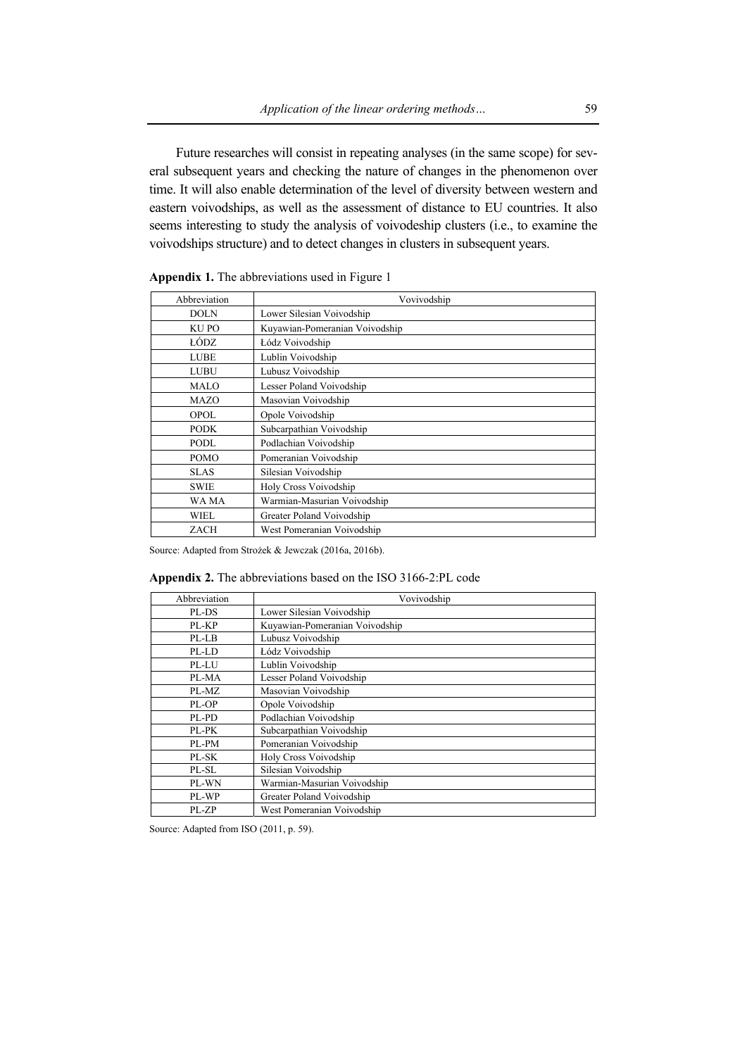Future researches will consist in repeating analyses (in the same scope) for several subsequent years and checking the nature of changes in the phenomenon over time. It will also enable determination of the level of diversity between western and eastern voivodships, as well as the assessment of distance to EU countries. It also seems interesting to study the analysis of voivodeship clusters (i.e., to examine the voivodships structure) and to detect changes in clusters in subsequent years.

| Abbreviation | Vovivodship                    |
|--------------|--------------------------------|
| <b>DOLN</b>  | Lower Silesian Voivodship      |
| <b>KUPO</b>  | Kuyawian-Pomeranian Voivodship |
| ŁÓDZ.        | Łódz Voivodship                |
| <b>LUBE</b>  | Lublin Voivodship              |
| <b>LUBU</b>  | Lubusz Voivodship              |
| <b>MALO</b>  | Lesser Poland Voivodship       |
| <b>MAZO</b>  | Masovian Voivodship            |
| <b>OPOL</b>  | Opole Voivodship               |
| <b>PODK</b>  | Subcarpathian Voivodship       |
| PODL         | Podlachian Voivodship          |
| <b>POMO</b>  | Pomeranian Voivodship          |
| <b>SLAS</b>  | Silesian Voivodship            |
| <b>SWIE</b>  | Holy Cross Voivodship          |
| WA MA        | Warmian-Masurian Voivodship    |
| WIEL         | Greater Poland Voivodship      |
| <b>ZACH</b>  | West Pomeranian Voivodship     |

**Appendix 1.** The abbreviations used in Figure 1

Source: Adapted from Strożek & Jewczak (2016a, 2016b).

|  |  |  | Appendix 2. The abbreviations based on the ISO 3166-2:PL code |  |  |  |  |
|--|--|--|---------------------------------------------------------------|--|--|--|--|
|--|--|--|---------------------------------------------------------------|--|--|--|--|

| Abbreviation | Vovivodship                    |
|--------------|--------------------------------|
| PL-DS        | Lower Silesian Voivodship      |
| PL-KP        | Kuyawian-Pomeranian Voivodship |
| PL-LB        | Lubusz Voivodship              |
| PL-LD        | Łódz Voivodship                |
| PL-LU        | Lublin Voivodship              |
| PL-MA        | Lesser Poland Voivodship       |
| PL-MZ        | Masovian Voivodship            |
| PL-OP        | Opole Voivodship               |
| PL-PD        | Podlachian Voivodship          |
| PL-PK        | Subcarpathian Voivodship       |
| PL-PM        | Pomeranian Voivodship          |
| PL-SK        | Holy Cross Voivodship          |
| PL-SL        | Silesian Voivodship            |
| PL-WN        | Warmian-Masurian Voivodship    |
| PL-WP        | Greater Poland Voivodship      |
| $PI - ZP$    | West Pomeranian Voivodship     |

Source: Adapted from ISO (2011, p. 59).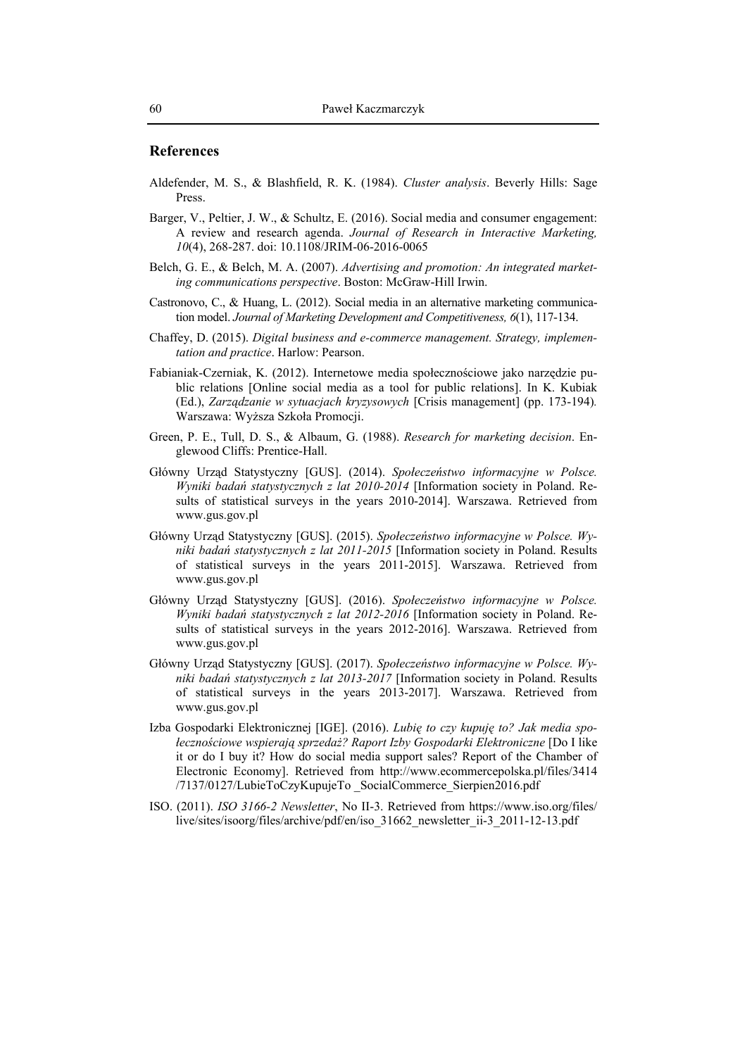#### **References**

- Aldefender, M. S., & Blashfield, R. K. (1984). *Cluster analysis*. Beverly Hills: Sage Press.
- Barger, V., Peltier, J. W., & Schultz, E. (2016). Social media and consumer engagement: A review and research agenda. *Journal of Research in Interactive Marketing, 10*(4), 268-287. doi: 10.1108/JRIM-06-2016-0065
- Belch, G. E., & Belch, M. A. (2007). *Advertising and promotion: An integrated marketing communications perspective*. Boston: McGraw-Hill Irwin.
- Castronovo, C., & Huang, L. (2012). Social media in an alternative marketing communication model. *Journal of Marketing Development and Competitiveness, 6*(1), 117-134.
- Chaffey, D. (2015). *Digital business and e-commerce management. Strategy, implementation and practice*. Harlow: Pearson.
- Fabianiak-Czerniak, K. (2012). Internetowe media społecznościowe jako narzędzie public relations [Online social media as a tool for public relations]. In K. Kubiak (Ed.), *Zarządzanie w sytuacjach kryzysowych* [Crisis management] (pp. 173-194)*.*  Warszawa: Wyższa Szkoła Promocji.
- Green, P. E., Tull, D. S., & Albaum, G. (1988). *Research for marketing decision*. Englewood Cliffs: Prentice-Hall.
- Główny Urząd Statystyczny [GUS]. (2014). *Społeczeństwo informacyjne w Polsce. Wyniki badań statystycznych z lat 2010-2014* [Information society in Poland. Results of statistical surveys in the years 2010-2014]. Warszawa. Retrieved from www.gus.gov.pl
- Główny Urząd Statystyczny [GUS]. (2015). *Społeczeństwo informacyjne w Polsce. Wyniki badań statystycznych z lat 2011-2015* [Information society in Poland. Results of statistical surveys in the years 2011-2015]. Warszawa. Retrieved from www.gus.gov.pl
- Główny Urząd Statystyczny [GUS]. (2016). *Społeczeństwo informacyjne w Polsce. Wyniki badań statystycznych z lat 2012-2016* [Information society in Poland. Results of statistical surveys in the years 2012-2016]. Warszawa. Retrieved from www.gus.gov.pl
- Główny Urząd Statystyczny [GUS]. (2017). *Społeczeństwo informacyjne w Polsce. Wyniki badań statystycznych z lat 2013-2017* [Information society in Poland. Results of statistical surveys in the years 2013-2017]. Warszawa. Retrieved from www.gus.gov.pl
- Izba Gospodarki Elektronicznej [IGE]. (2016). *Lubię to czy kupuję to? Jak media społecznościowe wspierają sprzedaż? Raport Izby Gospodarki Elektroniczne* [Do I like it or do I buy it? How do social media support sales? Report of the Chamber of Electronic Economy]. Retrieved from http://www.ecommercepolska.pl/files/3414 /7137/0127/LubieToCzyKupujeTo \_SocialCommerce\_Sierpien2016.pdf
- ISO. (2011). *ISO 3166-2 Newsletter*, No II-3. Retrieved from https://www.iso.org/files/ live/sites/isoorg/files/archive/pdf/en/iso\_31662\_newsletter\_ii-3\_2011-12-13.pdf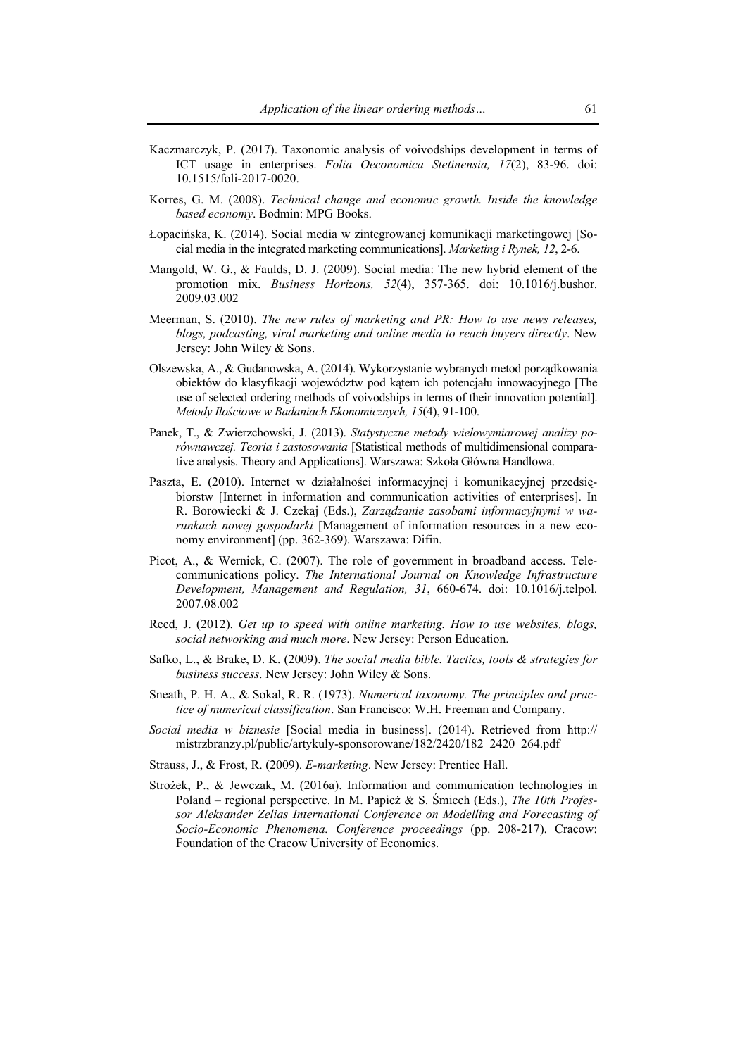- Kaczmarczyk, P. (2017). Taxonomic analysis of voivodships development in terms of ICT usage in enterprises. *Folia Oeconomica Stetinensia, 17*(2), 83-96. doi: 10.1515/foli-2017-0020.
- Korres, G. M. (2008). *Technical change and economic growth. Inside the knowledge based economy*. Bodmin: MPG Books.
- Łopacińska, K. (2014). Social media w zintegrowanej komunikacji marketingowej [Social media in the integrated marketing communications]. *Marketing i Rynek, 12*, 2-6.
- Mangold, W. G., & Faulds, D. J. (2009). Social media: The new hybrid element of the promotion mix. *Business Horizons, 52*(4), 357-365. doi: 10.1016/j.bushor. 2009.03.002
- Meerman, S. (2010). *The new rules of marketing and PR: How to use news releases, blogs, podcasting, viral marketing and online media to reach buyers directly*. New Jersey: John Wiley & Sons.
- Olszewska, A., & Gudanowska, A. (2014). Wykorzystanie wybranych metod porządkowania obiektów do klasyfikacji województw pod kątem ich potencjału innowacyjnego [The use of selected ordering methods of voivodships in terms of their innovation potential]. *Metody Ilościowe w Badaniach Ekonomicznych, 15*(4), 91-100.
- Panek, T., & Zwierzchowski, J. (2013). *Statystyczne metody wielowymiarowej analizy porównawczej. Teoria i zastosowania* [Statistical methods of multidimensional comparative analysis. Theory and Applications]. Warszawa: Szkoła Główna Handlowa.
- Paszta, E. (2010). Internet w działalności informacyjnej i komunikacyjnej przedsiębiorstw [Internet in information and communication activities of enterprises]. In R. Borowiecki & J. Czekaj (Eds.), *Zarządzanie zasobami informacyjnymi w warunkach nowej gospodarki* [Management of information resources in a new economy environment] (pp. 362-369)*.* Warszawa: Difin.
- Picot, A., & Wernick, C. (2007). The role of government in broadband access. Telecommunications policy. *The International Journal on Knowledge Infrastructure Development, Management and Regulation, 31*, 660-674. doi: 10.1016/j.telpol. 2007.08.002
- Reed, J. (2012). *Get up to speed with online marketing. How to use websites, blogs, social networking and much more*. New Jersey: Person Education.
- Safko, L., & Brake, D. K. (2009). *The social media bible. Tactics, tools & strategies for business success*. New Jersey: John Wiley & Sons.
- Sneath, P. H. A., & Sokal, R. R. (1973). *Numerical taxonomy. The principles and practice of numerical classification*. San Francisco: W.H. Freeman and Company.
- *Social media w biznesie* [Social media in business]. (2014). Retrieved from http:// mistrzbranzy.pl/public/artykuly-sponsorowane/182/2420/182\_2420\_264.pdf
- Strauss, J., & Frost, R. (2009). *E-marketing*. New Jersey: Prentice Hall.
- Strożek, P., & Jewczak, M. (2016a). Information and communication technologies in Poland – regional perspective. In M. Papież & S. Śmiech (Eds.), *The 10th Professor Aleksander Zelias International Conference on Modelling and Forecasting of Socio-Economic Phenomena. Conference proceedings* (pp. 208-217). Cracow: Foundation of the Cracow University of Economics.